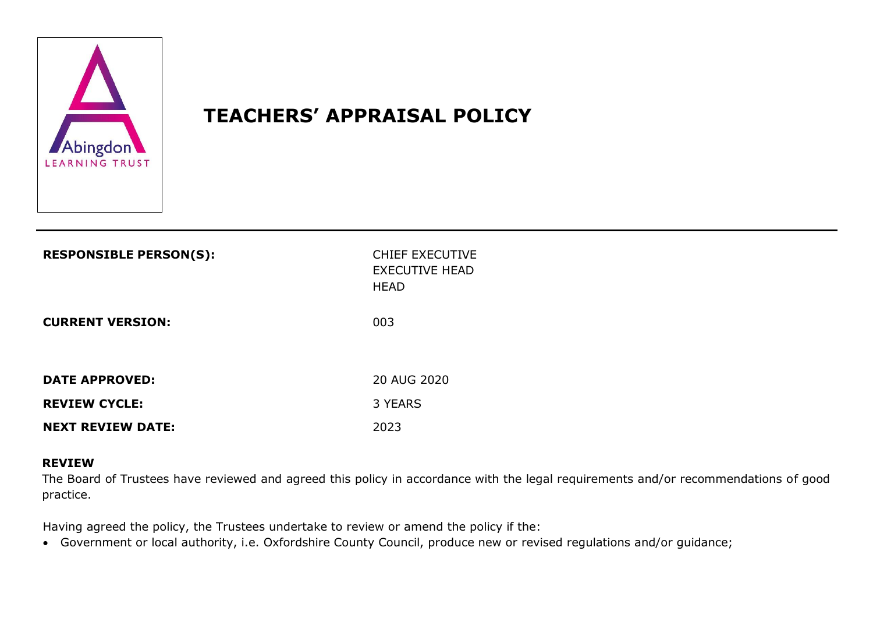

# **TEACHERS' APPRAISAL POLICY**

| <b>RESPONSIBLE PERSON(S):</b> | <b>CHIEF EXECUTIVE</b><br><b>EXECUTIVE HEAD</b><br><b>HEAD</b> |
|-------------------------------|----------------------------------------------------------------|
| <b>CURRENT VERSION:</b>       | 003                                                            |
| <b>DATE APPROVED:</b>         | 20 AUG 2020                                                    |
| <b>REVIEW CYCLE:</b>          | 3 YEARS                                                        |
| <b>NEXT REVIEW DATE:</b>      | 2023                                                           |

#### **REVIEW**

The Board of Trustees have reviewed and agreed this policy in accordance with the legal requirements and/or recommendations of good practice.

Having agreed the policy, the Trustees undertake to review or amend the policy if the:

Government or local authority, i.e. Oxfordshire County Council, produce new or revised regulations and/or guidance;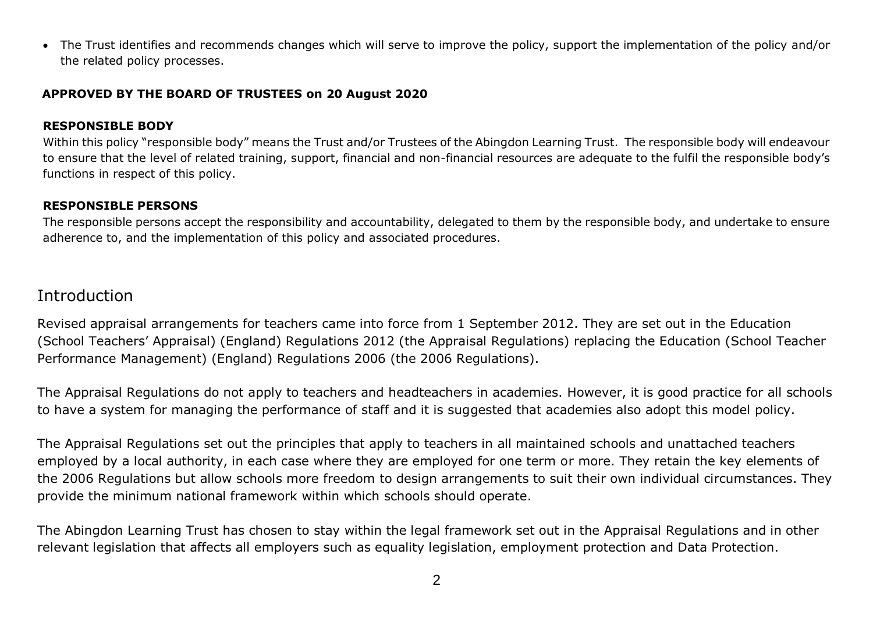The Trust identifies and recommends changes which will serve to improve the policy, support the implementation of the policy and/or the related policy processes.

#### **APPROVED BY THE BOARD OF TRUSTEES on 20 August 2020**

#### **RESPONSIBLE BODY**

Within this policy "responsible body" means the Trust and/or Trustees of the Abingdon Learning Trust. The responsible body will endeavour to ensure that the level of related training, support, financial and non-financial resources are adequate to the fulfil the responsible body's functions in respect of this policy.

#### **RESPONSIBLE PERSONS**

The responsible persons accept the responsibility and accountability, delegated to them by the responsible body, and undertake to ensure adherence to, and the implementation of this policy and associated procedures.

### Introduction

Revised appraisal arrangements for teachers came into force from 1 September 2012. They are set out in the Education (School Teachers' Appraisal) (England) Regulations 2012 (the Appraisal Regulations) replacing the Education (School Teacher Performance Management) (England) Regulations 2006 (the 2006 Regulations).

The Appraisal Regulations do not apply to teachers and headteachers in academies. However, it is good practice for all schools to have a system for managing the performance of staff and it is suggested that academies also adopt this model policy.

The Appraisal Regulations set out the principles that apply to teachers in all maintained schools and unattached teachers employed by a local authority, in each case where they are employed for one term or more. They retain the key elements of the 2006 Regulations but allow schools more freedom to design arrangements to suit their own individual circumstances. They provide the minimum national framework within which schools should operate.

The Abingdon Learning Trust has chosen to stay within the legal framework set out in the Appraisal Regulations and in other relevant legislation that affects all employers such as equality legislation, employment protection and Data Protection.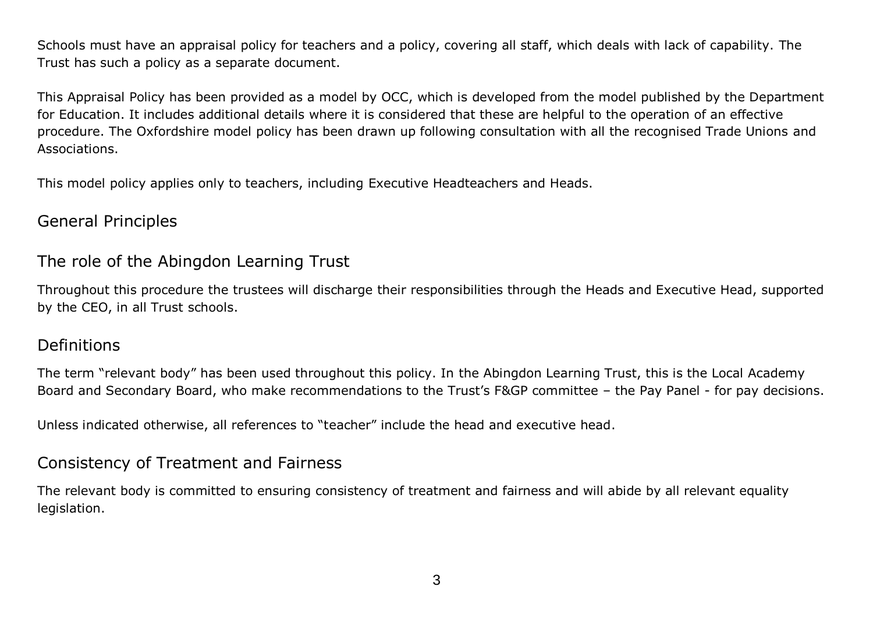Schools must have an appraisal policy for teachers and a policy, covering all staff, which deals with lack of capability. The Trust has such a policy as a separate document.

This Appraisal Policy has been provided as a model by OCC, which is developed from the model published by the Department for Education. It includes additional details where it is considered that these are helpful to the operation of an effective procedure. The Oxfordshire model policy has been drawn up following consultation with all the recognised Trade Unions and Associations.

This model policy applies only to teachers, including Executive Headteachers and Heads.

### General Principles

## The role of the Abingdon Learning Trust

Throughout this procedure the trustees will discharge their responsibilities through the Heads and Executive Head, supported by the CEO, in all Trust schools.

### Definitions

The term "relevant body" has been used throughout this policy. In the Abingdon Learning Trust, this is the Local Academy Board and Secondary Board, who make recommendations to the Trust's F&GP committee – the Pay Panel - for pay decisions.

Unless indicated otherwise, all references to "teacher" include the head and executive head.

## Consistency of Treatment and Fairness

The relevant body is committed to ensuring consistency of treatment and fairness and will abide by all relevant equality legislation.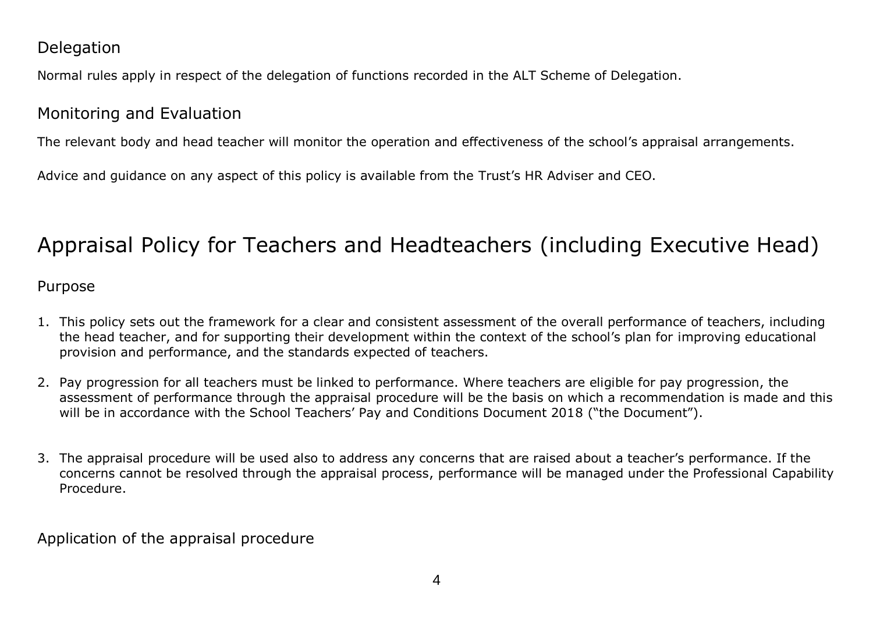## **Delegation**

Normal rules apply in respect of the delegation of functions recorded in the ALT Scheme of Delegation.

# Monitoring and Evaluation

The relevant body and head teacher will monitor the operation and effectiveness of the school's appraisal arrangements.

Advice and guidance on any aspect of this policy is available from the Trust's HR Adviser and CEO.

# Appraisal Policy for Teachers and Headteachers (including Executive Head)

### Purpose

- 1. This policy sets out the framework for a clear and consistent assessment of the overall performance of teachers, including the head teacher, and for supporting their development within the context of the school's plan for improving educational provision and performance, and the standards expected of teachers.
- 2. Pay progression for all teachers must be linked to performance. Where teachers are eligible for pay progression, the assessment of performance through the appraisal procedure will be the basis on which a recommendation is made and this will be in accordance with the School Teachers' Pay and Conditions Document 2018 ("the Document").
- 3. The appraisal procedure will be used also to address any concerns that are raised about a teacher's performance. If the concerns cannot be resolved through the appraisal process, performance will be managed under the Professional Capability Procedure.

Application of the appraisal procedure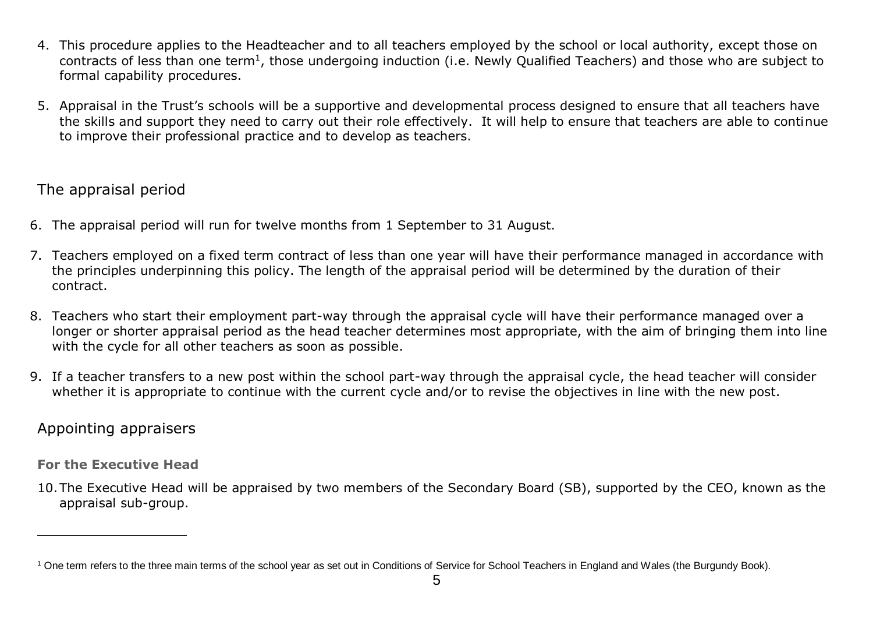- 4. This procedure applies to the Headteacher and to all teachers employed by the school or local authority, except those on contracts of less than one term<sup>1</sup>, those undergoing induction (i.e. Newly Qualified Teachers) and those who are subject to formal capability procedures.
- 5. Appraisal in the Trust's schools will be a supportive and developmental process designed to ensure that all teachers have the skills and support they need to carry out their role effectively. It will help to ensure that teachers are able to continue to improve their professional practice and to develop as teachers.

### The appraisal period

- 6. The appraisal period will run for twelve months from 1 September to 31 August.
- 7. Teachers employed on a fixed term contract of less than one year will have their performance managed in accordance with the principles underpinning this policy. The length of the appraisal period will be determined by the duration of their contract.
- 8. Teachers who start their employment part-way through the appraisal cycle will have their performance managed over a longer or shorter appraisal period as the head teacher determines most appropriate, with the aim of bringing them into line with the cycle for all other teachers as soon as possible.
- 9. If a teacher transfers to a new post within the school part-way through the appraisal cycle, the head teacher will consider whether it is appropriate to continue with the current cycle and/or to revise the objectives in line with the new post.

### Appointing appraisers

**For the Executive Head**

 $\overline{a}$ 

10.The Executive Head will be appraised by two members of the Secondary Board (SB), supported by the CEO, known as the appraisal sub-group.

<sup>&</sup>lt;sup>1</sup> One term refers to the three main terms of the school year as set out in Conditions of Service for School Teachers in England and Wales (the Burgundy Book).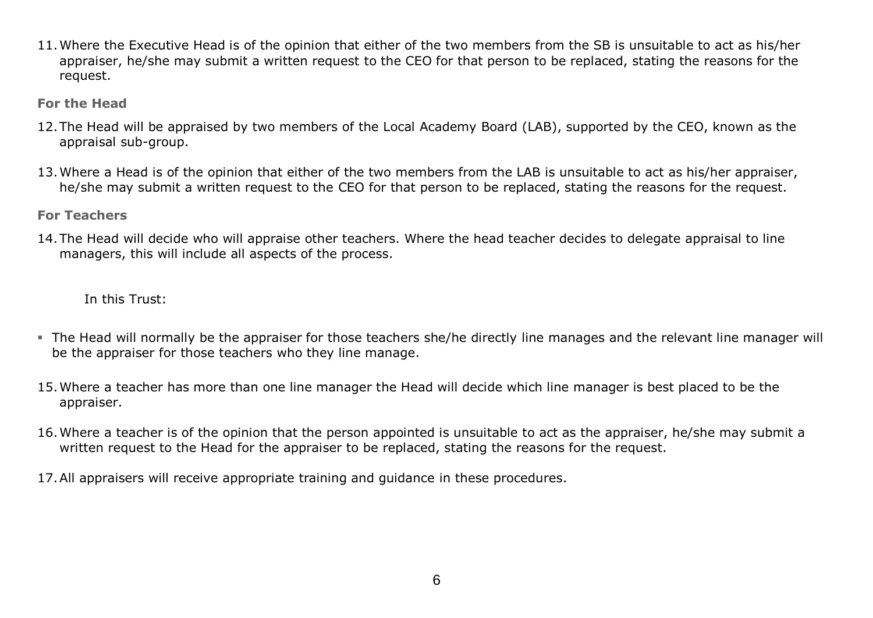11.Where the Executive Head is of the opinion that either of the two members from the SB is unsuitable to act as his/her appraiser, he/she may submit a written request to the CEO for that person to be replaced, stating the reasons for the request.

**For the Head**

- 12.The Head will be appraised by two members of the Local Academy Board (LAB), supported by the CEO, known as the appraisal sub-group.
- 13.Where a Head is of the opinion that either of the two members from the LAB is unsuitable to act as his/her appraiser, he/she may submit a written request to the CEO for that person to be replaced, stating the reasons for the request.
- **For Teachers**
- 14.The Head will decide who will appraise other teachers. Where the head teacher decides to delegate appraisal to line managers, this will include all aspects of the process.

In this Trust:

- The Head will normally be the appraiser for those teachers she/he directly line manages and the relevant line manager will be the appraiser for those teachers who they line manage.
- 15.Where a teacher has more than one line manager the Head will decide which line manager is best placed to be the appraiser.
- 16.Where a teacher is of the opinion that the person appointed is unsuitable to act as the appraiser, he/she may submit a written request to the Head for the appraiser to be replaced, stating the reasons for the request.
- 17.All appraisers will receive appropriate training and guidance in these procedures.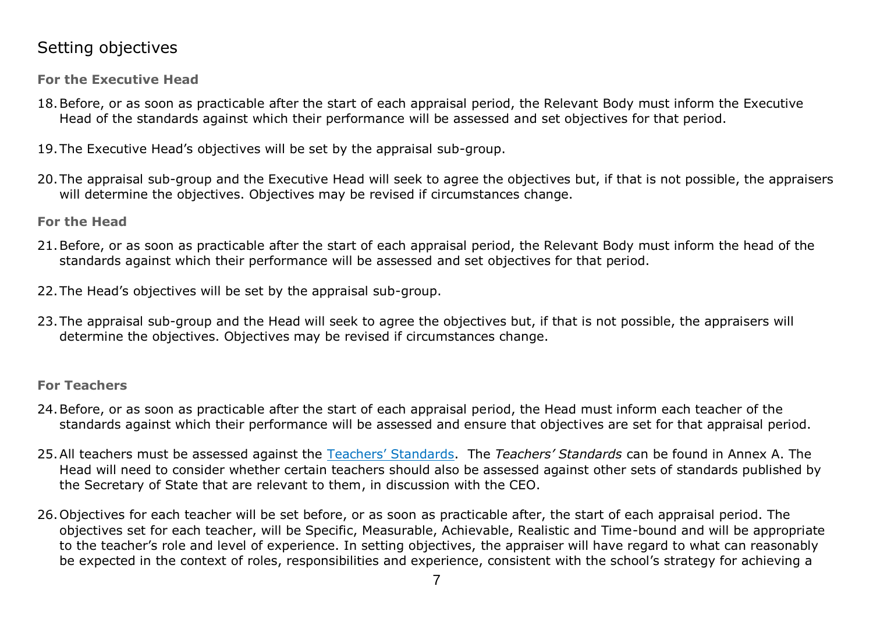# Setting objectives

**For the Executive Head**

- 18.Before, or as soon as practicable after the start of each appraisal period, the Relevant Body must inform the Executive Head of the standards against which their performance will be assessed and set objectives for that period.
- 19.The Executive Head's objectives will be set by the appraisal sub-group.
- 20.The appraisal sub-group and the Executive Head will seek to agree the objectives but, if that is not possible, the appraisers will determine the objectives. Objectives may be revised if circumstances change.

**For the Head**

- 21.Before, or as soon as practicable after the start of each appraisal period, the Relevant Body must inform the head of the standards against which their performance will be assessed and set objectives for that period.
- 22.The Head's objectives will be set by the appraisal sub-group.
- 23.The appraisal sub-group and the Head will seek to agree the objectives but, if that is not possible, the appraisers will determine the objectives. Objectives may be revised if circumstances change.

#### **For Teachers**

- 24.Before, or as soon as practicable after the start of each appraisal period, the Head must inform each teacher of the standards against which their performance will be assessed and ensure that objectives are set for that appraisal period.
- 25.All teachers must be assessed against the [Teachers' Standards](https://www.google.co.uk/?gws_rd=ssl#q=Teachers+Standards). The *Teachers' Standards* can be found in Annex A. The Head will need to consider whether certain teachers should also be assessed against other sets of standards published by the Secretary of State that are relevant to them, in discussion with the CEO.
- 26.Objectives for each teacher will be set before, or as soon as practicable after, the start of each appraisal period. The objectives set for each teacher, will be Specific, Measurable, Achievable, Realistic and Time-bound and will be appropriate to the teacher's role and level of experience. In setting objectives, the appraiser will have regard to what can reasonably be expected in the context of roles, responsibilities and experience, consistent with the school's strategy for achieving a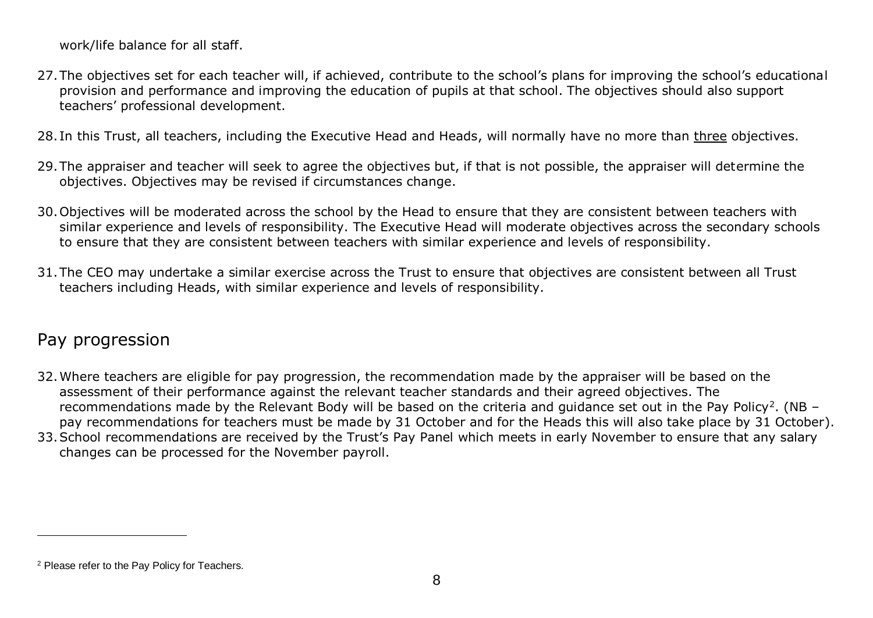work/life balance for all staff.

- 27.The objectives set for each teacher will, if achieved, contribute to the school's plans for improving the school's educational provision and performance and improving the education of pupils at that school. The objectives should also support teachers' professional development.
- 28. In this Trust, all teachers, including the Executive Head and Heads, will normally have no more than three objectives.
- 29.The appraiser and teacher will seek to agree the objectives but, if that is not possible, the appraiser will determine the objectives. Objectives may be revised if circumstances change.
- 30.Objectives will be moderated across the school by the Head to ensure that they are consistent between teachers with similar experience and levels of responsibility. The Executive Head will moderate objectives across the secondary schools to ensure that they are consistent between teachers with similar experience and levels of responsibility.
- 31.The CEO may undertake a similar exercise across the Trust to ensure that objectives are consistent between all Trust teachers including Heads, with similar experience and levels of responsibility.

# Pay progression

 $\overline{a}$ 

- 32.Where teachers are eligible for pay progression, the recommendation made by the appraiser will be based on the assessment of their performance against the relevant teacher standards and their agreed objectives. The recommendations made by the Relevant Body will be based on the criteria and guidance set out in the Pay Policy<sup>2</sup>. (NB pay recommendations for teachers must be made by 31 October and for the Heads this will also take place by 31 October).
- 33.School recommendations are received by the Trust's Pay Panel which meets in early November to ensure that any salary changes can be processed for the November payroll.

<sup>&</sup>lt;sup>2</sup> Please refer to the Pay Policy for Teachers.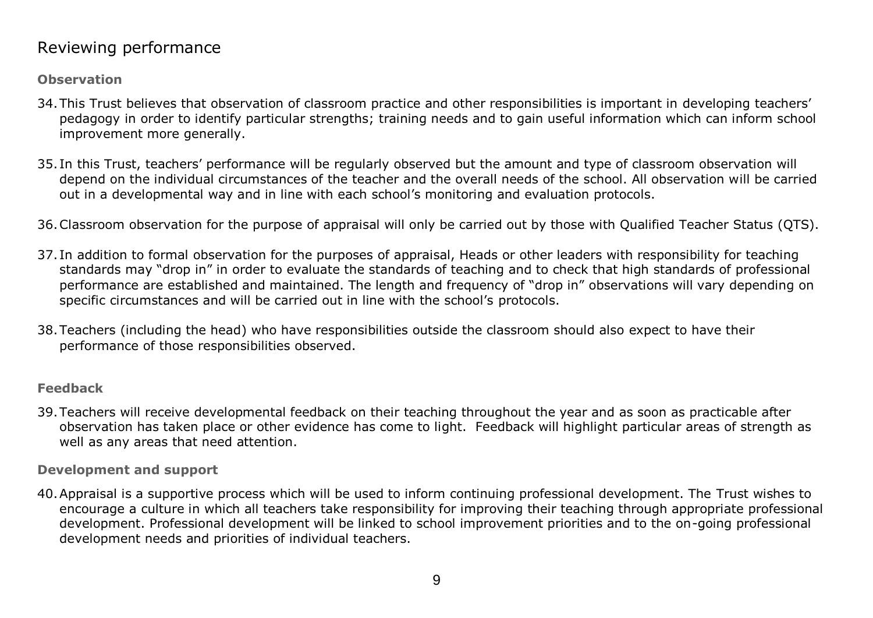## Reviewing performance

**Observation**

- 34.This Trust believes that observation of classroom practice and other responsibilities is important in developing teachers' pedagogy in order to identify particular strengths; training needs and to gain useful information which can inform school improvement more generally.
- 35. In this Trust, teachers' performance will be regularly observed but the amount and type of classroom observation will depend on the individual circumstances of the teacher and the overall needs of the school. All observation will be carried out in a developmental way and in line with each school's monitoring and evaluation protocols.
- 36.Classroom observation for the purpose of appraisal will only be carried out by those with Qualified Teacher Status (QTS).
- 37. In addition to formal observation for the purposes of appraisal, Heads or other leaders with responsibility for teaching standards may "drop in" in order to evaluate the standards of teaching and to check that high standards of professional performance are established and maintained. The length and frequency of "drop in" observations will vary depending on specific circumstances and will be carried out in line with the school's protocols.
- 38.Teachers (including the head) who have responsibilities outside the classroom should also expect to have their performance of those responsibilities observed.

#### **Feedback**

39.Teachers will receive developmental feedback on their teaching throughout the year and as soon as practicable after observation has taken place or other evidence has come to light. Feedback will highlight particular areas of strength as well as any areas that need attention.

**Development and support**

40.Appraisal is a supportive process which will be used to inform continuing professional development. The Trust wishes to encourage a culture in which all teachers take responsibility for improving their teaching through appropriate professional development. Professional development will be linked to school improvement priorities and to the on-going professional development needs and priorities of individual teachers.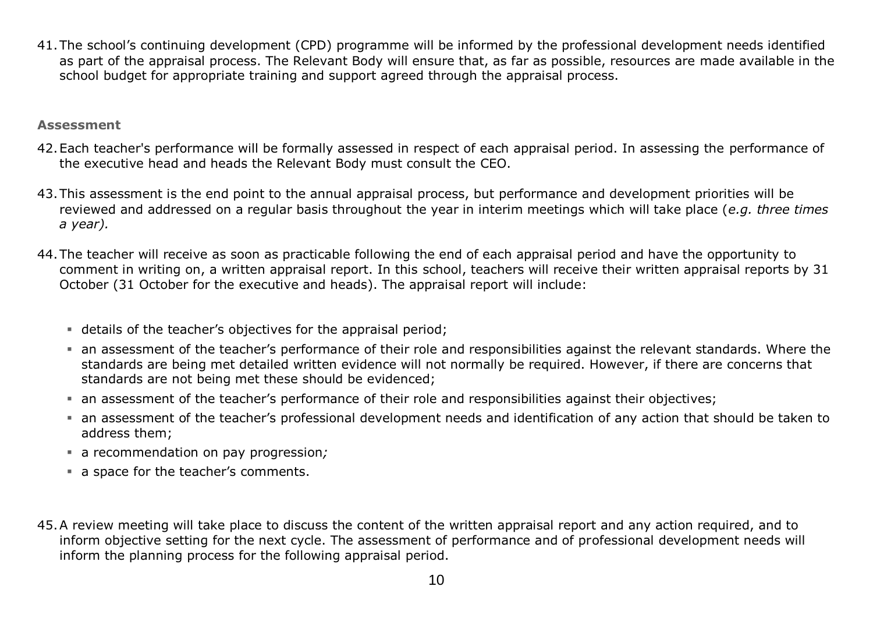41.The school's continuing development (CPD) programme will be informed by the professional development needs identified as part of the appraisal process. The Relevant Body will ensure that, as far as possible, resources are made available in the school budget for appropriate training and support agreed through the appraisal process.

#### **Assessment**

- 42.Each teacher's performance will be formally assessed in respect of each appraisal period. In assessing the performance of the executive head and heads the Relevant Body must consult the CEO.
- 43.This assessment is the end point to the annual appraisal process, but performance and development priorities will be reviewed and addressed on a regular basis throughout the year in interim meetings which will take place (*e.g. three times a year).*
- 44.The teacher will receive as soon as practicable following the end of each appraisal period and have the opportunity to comment in writing on, a written appraisal report. In this school, teachers will receive their written appraisal reports by 31 October (31 October for the executive and heads). The appraisal report will include:
	- details of the teacher's objectives for the appraisal period;
	- an assessment of the teacher's performance of their role and responsibilities against the relevant standards. Where the standards are being met detailed written evidence will not normally be required. However, if there are concerns that standards are not being met these should be evidenced;
	- an assessment of the teacher's performance of their role and responsibilities against their objectives;
	- an assessment of the teacher's professional development needs and identification of any action that should be taken to address them;
	- a recommendation on pay progression*;*
	- a space for the teacher's comments.
- 45.A review meeting will take place to discuss the content of the written appraisal report and any action required, and to inform objective setting for the next cycle. The assessment of performance and of professional development needs will inform the planning process for the following appraisal period.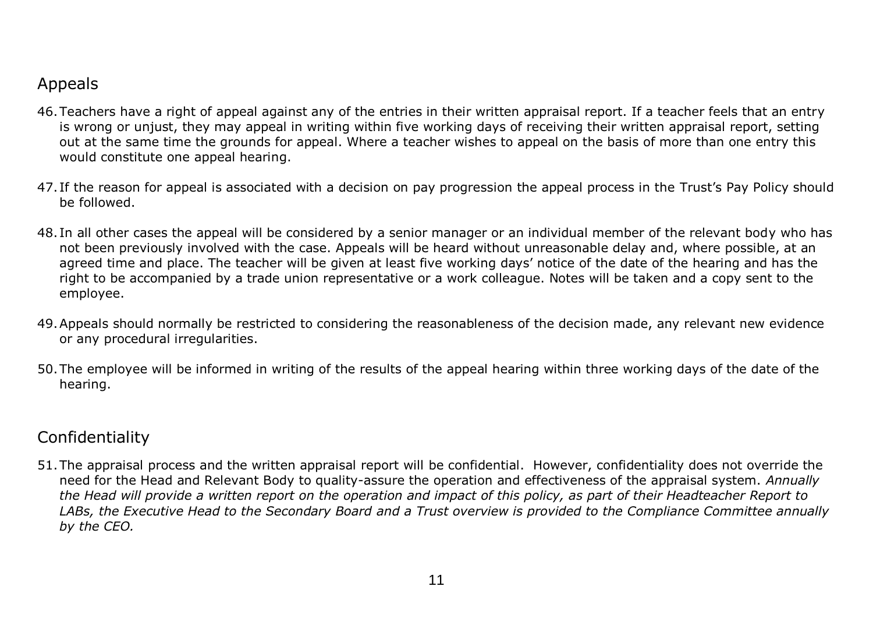# Appeals

- 46.Teachers have a right of appeal against any of the entries in their written appraisal report. If a teacher feels that an entry is wrong or unjust, they may appeal in writing within five working days of receiving their written appraisal report, setting out at the same time the grounds for appeal. Where a teacher wishes to appeal on the basis of more than one entry this would constitute one appeal hearing.
- 47. If the reason for appeal is associated with a decision on pay progression the appeal process in the Trust's Pay Policy should be followed.
- 48. In all other cases the appeal will be considered by a senior manager or an individual member of the relevant body who has not been previously involved with the case. Appeals will be heard without unreasonable delay and, where possible, at an agreed time and place. The teacher will be given at least five working days' notice of the date of the hearing and has the right to be accompanied by a trade union representative or a work colleague. Notes will be taken and a copy sent to the employee.
- 49.Appeals should normally be restricted to considering the reasonableness of the decision made, any relevant new evidence or any procedural irregularities.
- 50.The employee will be informed in writing of the results of the appeal hearing within three working days of the date of the hearing.

### Confidentiality

51.The appraisal process and the written appraisal report will be confidential. However, confidentiality does not override the need for the Head and Relevant Body to quality-assure the operation and effectiveness of the appraisal system. *Annually the Head will provide a written report on the operation and impact of this policy, as part of their Headteacher Report to LABs, the Executive Head to the Secondary Board and a Trust overview is provided to the Compliance Committee annually by the CEO.*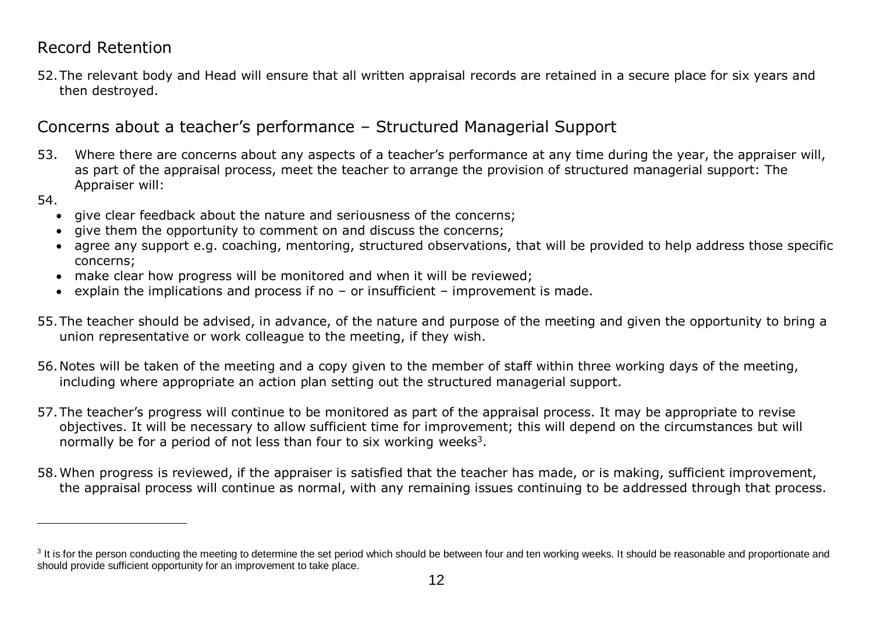### Record Retention

52.The relevant body and Head will ensure that all written appraisal records are retained in a secure place for six years and then destroyed.

# Concerns about a teacher's performance – Structured Managerial Support

- 53. Where there are concerns about any aspects of a teacher's performance at any time during the year, the appraiser will, as part of the appraisal process, meet the teacher to arrange the provision of structured managerial support: The Appraiser will:
- 54.

 $\overline{a}$ 

- give clear feedback about the nature and seriousness of the concerns;
- give them the opportunity to comment on and discuss the concerns;
- agree any support e.g. coaching, mentoring, structured observations, that will be provided to help address those specific concerns;
- make clear how progress will be monitored and when it will be reviewed;
- explain the implications and process if no  $-$  or insufficient  $-$  improvement is made.
- 55.The teacher should be advised, in advance, of the nature and purpose of the meeting and given the opportunity to bring a union representative or work colleague to the meeting, if they wish.
- 56.Notes will be taken of the meeting and a copy given to the member of staff within three working days of the meeting, including where appropriate an action plan setting out the structured managerial support.
- 57.The teacher's progress will continue to be monitored as part of the appraisal process. It may be appropriate to revise objectives. It will be necessary to allow sufficient time for improvement; this will depend on the circumstances but will normally be for a period of not less than four to six working weeks<sup>3</sup>.
- 58.When progress is reviewed, if the appraiser is satisfied that the teacher has made, or is making, sufficient improvement, the appraisal process will continue as normal, with any remaining issues continuing to be addressed through that process.

 $3$  It is for the person conducting the meeting to determine the set period which should be between four and ten working weeks. It should be reasonable and proportionate and should provide sufficient opportunity for an improvement to take place.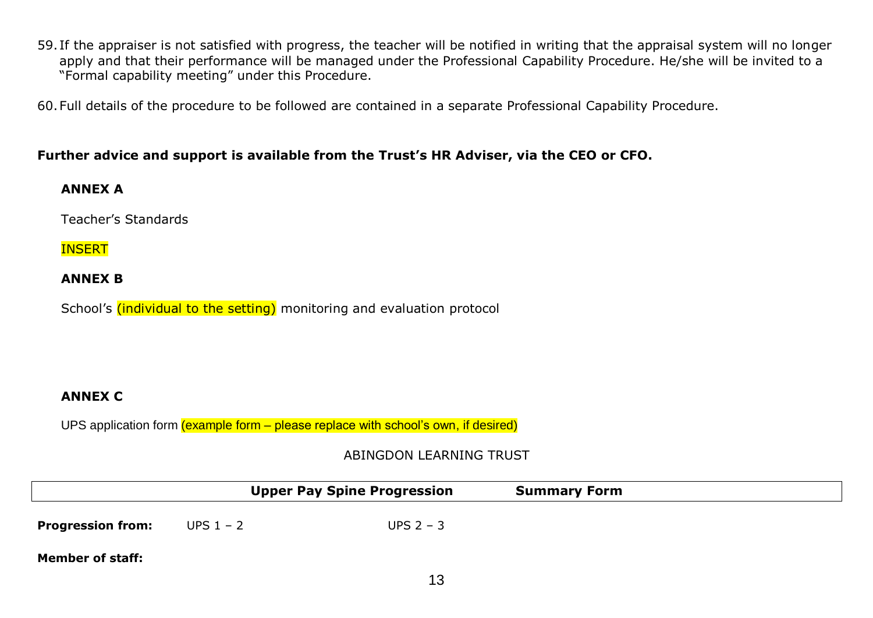59. If the appraiser is not satisfied with progress, the teacher will be notified in writing that the appraisal system will no longer apply and that their performance will be managed under the Professional Capability Procedure. He/she will be invited to a "Formal capability meeting" under this Procedure.

60.Full details of the procedure to be followed are contained in a separate Professional Capability Procedure.

#### **Further advice and support is available from the Trust's HR Adviser, via the CEO or CFO.**

#### **ANNEX A**

Teacher's Standards

#### **INSERT**

#### **ANNEX B**

School's (individual to the setting) monitoring and evaluation protocol

#### **ANNEX C**

UPS application form (example form – please replace with school's own, if desired)

ABINGDON LEARNING TRUST

|                          |             | <b>Upper Pay Spine Progression</b> | <b>Summary Form</b> |  |
|--------------------------|-------------|------------------------------------|---------------------|--|
| <b>Progression from:</b> | UPS $1 - 2$ | UPS $2 - 3$                        |                     |  |
| <b>Member of staff:</b>  |             |                                    |                     |  |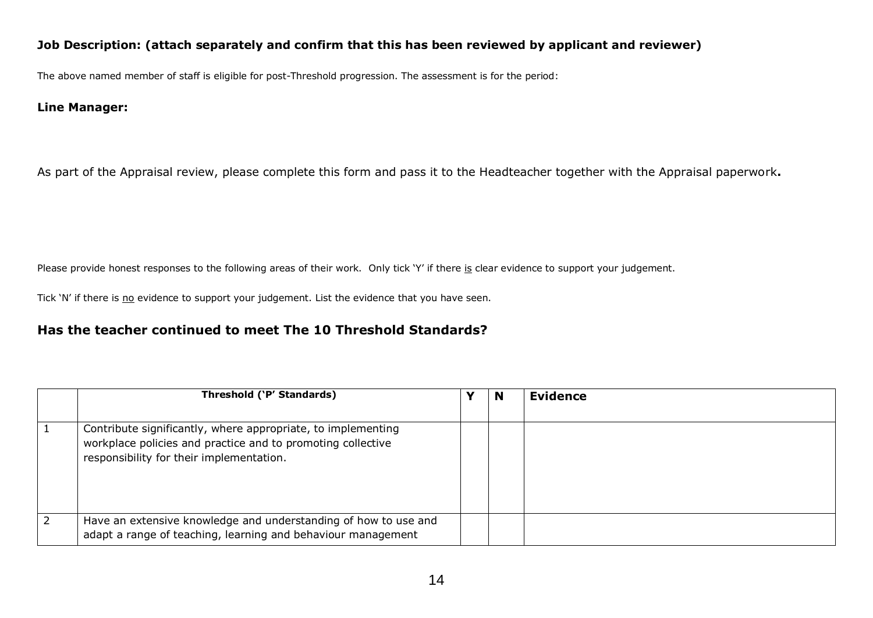#### **Job Description: (attach separately and confirm that this has been reviewed by applicant and reviewer)**

The above named member of staff is eligible for post-Threshold progression. The assessment is for the period:

#### **Line Manager:**

As part of the Appraisal review, please complete this form and pass it to the Headteacher together with the Appraisal paperwork**.**

Please provide honest responses to the following areas of their work. Only tick 'Y' if there is clear evidence to support your judgement.

Tick 'N' if there is no evidence to support your judgement. List the evidence that you have seen.

#### **Has the teacher continued to meet The 10 Threshold Standards?**

|            | Threshold ('P' Standards)                                                                                                                                               | N | <b>Evidence</b> |
|------------|-------------------------------------------------------------------------------------------------------------------------------------------------------------------------|---|-----------------|
|            | Contribute significantly, where appropriate, to implementing<br>workplace policies and practice and to promoting collective<br>responsibility for their implementation. |   |                 |
| $\sqrt{2}$ | Have an extensive knowledge and understanding of how to use and<br>adapt a range of teaching, learning and behaviour management                                         |   |                 |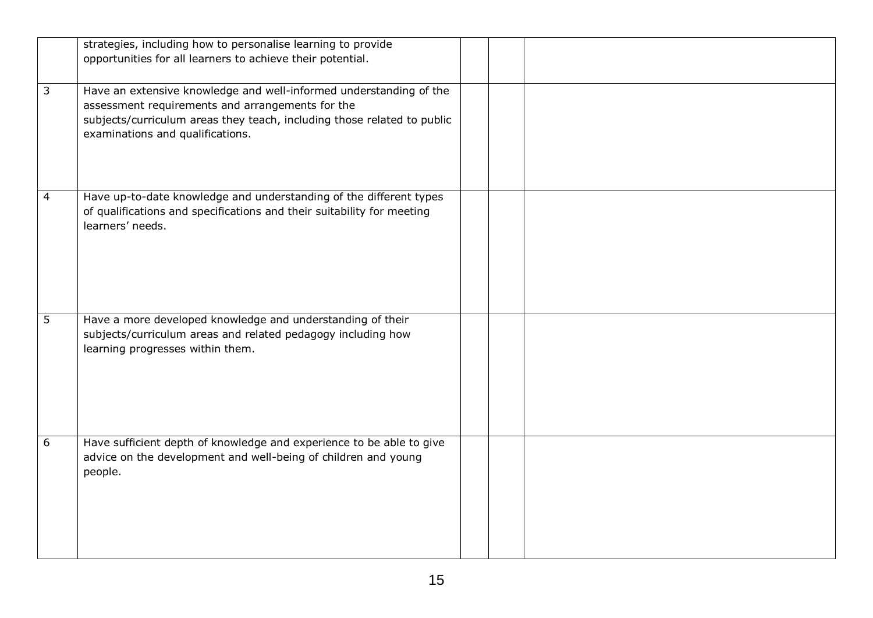|   | strategies, including how to personalise learning to provide<br>opportunities for all learners to achieve their potential.                                                                                                            |  |  |
|---|---------------------------------------------------------------------------------------------------------------------------------------------------------------------------------------------------------------------------------------|--|--|
| 3 | Have an extensive knowledge and well-informed understanding of the<br>assessment requirements and arrangements for the<br>subjects/curriculum areas they teach, including those related to public<br>examinations and qualifications. |  |  |
| 4 | Have up-to-date knowledge and understanding of the different types<br>of qualifications and specifications and their suitability for meeting<br>learners' needs.                                                                      |  |  |
| 5 | Have a more developed knowledge and understanding of their<br>subjects/curriculum areas and related pedagogy including how<br>learning progresses within them.                                                                        |  |  |
| 6 | Have sufficient depth of knowledge and experience to be able to give<br>advice on the development and well-being of children and young<br>people.                                                                                     |  |  |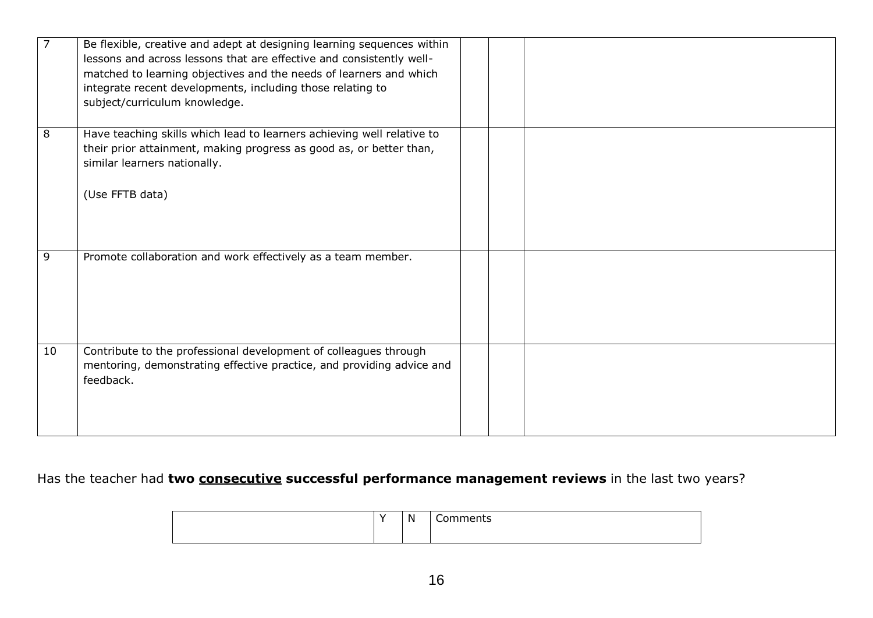|    | Be flexible, creative and adept at designing learning sequences within<br>lessons and across lessons that are effective and consistently well-<br>matched to learning objectives and the needs of learners and which<br>integrate recent developments, including those relating to<br>subject/curriculum knowledge. |  |  |
|----|---------------------------------------------------------------------------------------------------------------------------------------------------------------------------------------------------------------------------------------------------------------------------------------------------------------------|--|--|
| 8  | Have teaching skills which lead to learners achieving well relative to<br>their prior attainment, making progress as good as, or better than,<br>similar learners nationally.<br>(Use FFTB data)                                                                                                                    |  |  |
| 9  | Promote collaboration and work effectively as a team member.                                                                                                                                                                                                                                                        |  |  |
| 10 | Contribute to the professional development of colleagues through<br>mentoring, demonstrating effective practice, and providing advice and<br>feedback.                                                                                                                                                              |  |  |

## Has the teacher had **two consecutive successful performance management reviews** in the last two years?

|  | . .<br>-N<br>. . | <br>$-1 - 1 - 1 - 1 = 1$<br>. .<br>- - - |
|--|------------------|------------------------------------------|
|  |                  |                                          |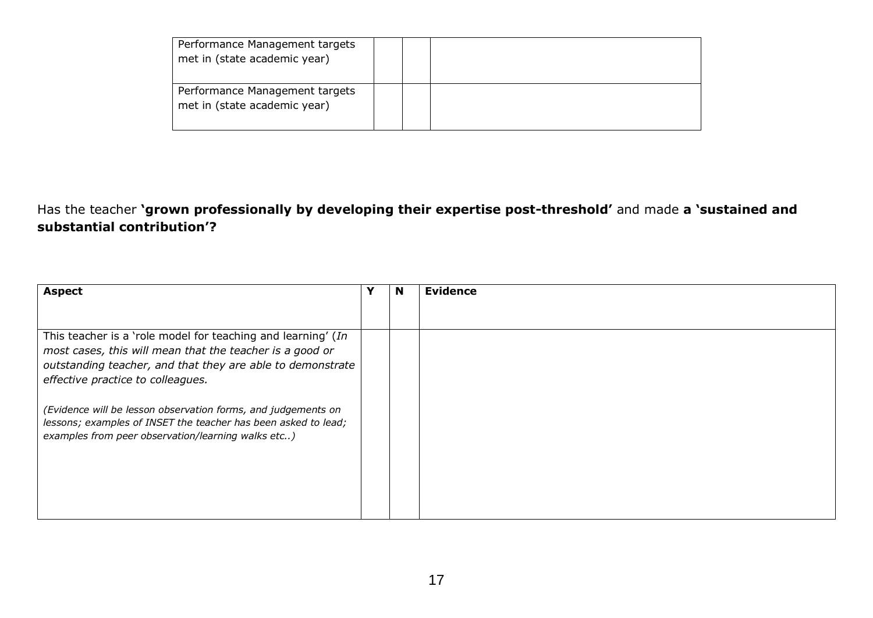| Performance Management targets<br>met in (state academic year) |  |  |
|----------------------------------------------------------------|--|--|
| Performance Management targets<br>met in (state academic year) |  |  |

Has the teacher **'grown professionally by developing their expertise post-threshold'** and made **a 'sustained and substantial contribution'?**

| <b>Aspect</b>                                                                                                                                                                                                               | N | <b>Evidence</b> |
|-----------------------------------------------------------------------------------------------------------------------------------------------------------------------------------------------------------------------------|---|-----------------|
|                                                                                                                                                                                                                             |   |                 |
| This teacher is a 'role model for teaching and learning' (In<br>most cases, this will mean that the teacher is a good or<br>outstanding teacher, and that they are able to demonstrate<br>effective practice to colleagues. |   |                 |
| (Evidence will be lesson observation forms, and judgements on<br>lessons; examples of INSET the teacher has been asked to lead;<br>examples from peer observation/learning walks etc)                                       |   |                 |
|                                                                                                                                                                                                                             |   |                 |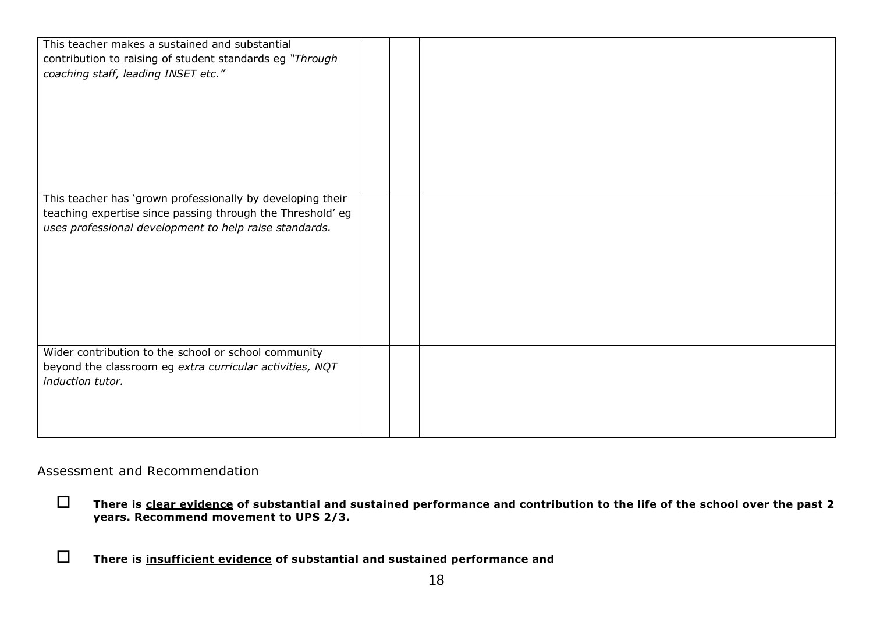| This teacher makes a sustained and substantial<br>contribution to raising of student standards eg "Through<br>coaching staff, leading INSET etc."                                  |  |  |
|------------------------------------------------------------------------------------------------------------------------------------------------------------------------------------|--|--|
| This teacher has 'grown professionally by developing their<br>teaching expertise since passing through the Threshold' eg<br>uses professional development to help raise standards. |  |  |
| Wider contribution to the school or school community<br>beyond the classroom eg extra curricular activities, NQT<br>induction tutor.                                               |  |  |

#### Assessment and Recommendation

- **There is clear evidence of substantial and sustained performance and contribution to the life of the school over the past 2 years. Recommend movement to UPS 2/3.**
- **There is insufficient evidence of substantial and sustained performance and**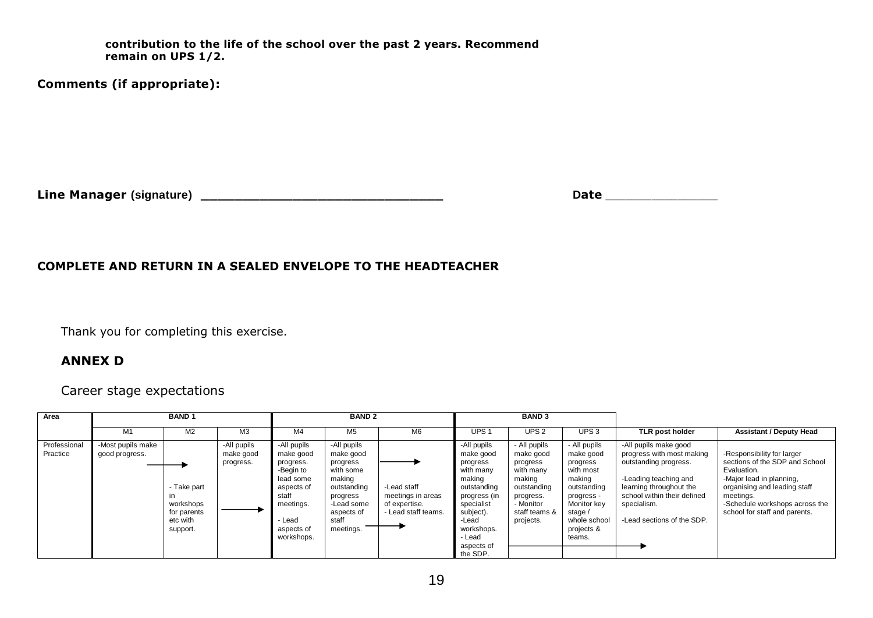**contribution to the life of the school over the past 2 years. Recommend remain on UPS 1/2.**

**Comments (if appropriate):**

**Line Manager (signature) \_\_\_\_\_\_\_\_\_\_\_\_\_\_\_\_\_\_\_\_\_\_\_\_\_\_\_\_\_ Date \_\_\_\_\_\_\_\_\_\_\_\_\_\_\_\_\_**

#### **COMPLETE AND RETURN IN A SEALED ENVELOPE TO THE HEADTEACHER**

Thank you for completing this exercise.

#### **ANNEX D**

Career stage expectations

| Area                     |                                     | <b>BAND1</b>                                                    |                                       | <b>BAND 2</b>                                                                                                                             |                                                                                                                                          |                                                                          |                                                                                                                                                                                  | <b>BAND 3</b>                                                                                                                       |                                                                                                                                                             |                                                                                                                                                                                                             |                                                                                                                                                                                                                         |
|--------------------------|-------------------------------------|-----------------------------------------------------------------|---------------------------------------|-------------------------------------------------------------------------------------------------------------------------------------------|------------------------------------------------------------------------------------------------------------------------------------------|--------------------------------------------------------------------------|----------------------------------------------------------------------------------------------------------------------------------------------------------------------------------|-------------------------------------------------------------------------------------------------------------------------------------|-------------------------------------------------------------------------------------------------------------------------------------------------------------|-------------------------------------------------------------------------------------------------------------------------------------------------------------------------------------------------------------|-------------------------------------------------------------------------------------------------------------------------------------------------------------------------------------------------------------------------|
|                          | M1                                  | M <sub>2</sub>                                                  | M <sub>3</sub>                        | M4                                                                                                                                        | M <sub>5</sub>                                                                                                                           | M6                                                                       | UPS <sub>1</sub>                                                                                                                                                                 | UPS <sub>2</sub>                                                                                                                    | UPS <sub>3</sub>                                                                                                                                            | <b>TLR post holder</b>                                                                                                                                                                                      | <b>Assistant / Deputy Head</b>                                                                                                                                                                                          |
| Professional<br>Practice | -Most pupils make<br>good progress. | - Take part<br>workshops<br>for parents<br>etc with<br>support. | -All pupils<br>make good<br>progress. | -All pupils<br>make good<br>progress.<br>-Begin to<br>lead some<br>aspects of<br>staff<br>meetings.<br>- Lead<br>aspects of<br>workshops. | -All pupils<br>make good<br>progress<br>with some<br>making<br>outstanding<br>progress<br>-Lead some<br>aspects of<br>staff<br>meetings. | -Lead staff<br>meetings in areas<br>of expertise.<br>- Lead staff teams. | -All pupils<br>make good<br>progress<br>with many<br>making<br>outstanding<br>progress (in<br>specialist<br>subject).<br>-Lead<br>workshops.<br>- Lead<br>aspects of<br>the SDP. | - All pupils<br>make good<br>progress<br>with many<br>making<br>outstanding<br>progress.<br>- Monitor<br>staff teams &<br>projects. | - All pupils<br>make good<br>progress<br>with most<br>making<br>outstanding<br>progress -<br>Monitor key<br>stage /<br>whole school<br>projects &<br>teams. | -All pupils make good<br>progress with most making<br>outstanding progress.<br>-Leading teaching and<br>learning throughout the<br>school within their defined<br>specialism.<br>-Lead sections of the SDP. | -Responsibility for larger<br>sections of the SDP and School<br>Evaluation.<br>-Major lead in planning,<br>organising and leading staff<br>meetings.<br>-Schedule workshops across the<br>school for staff and parents. |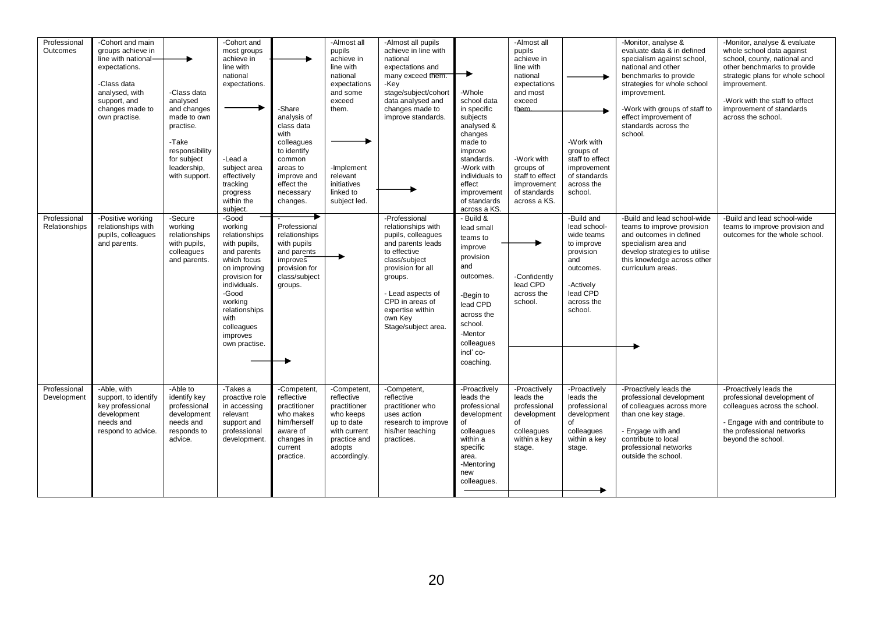| Professional<br>Outcomes      | -Cohort and main<br>groups achieve in<br>line with national-<br>expectations.<br>-Class data<br>analysed, with<br>support, and<br>changes made to<br>own practise. | -Class data<br>analysed<br>and changes<br>made to own<br>practise.<br>-Take<br>responsibility<br>for subject<br>leadership,<br>with support. | -Cohort and<br>most groups<br>achieve in<br>line with<br>national<br>expectations.<br>-Lead a<br>subject area<br>effectively<br>tracking<br>progress<br>within the<br>subject.                                           | -Share<br>analysis of<br>class data<br>with<br>colleagues<br>to identify<br>common<br>areas to<br>improve and<br>effect the<br>necessary<br>changes. | -Almost all<br>pupils<br>achieve in<br>line with<br>national<br>expectations<br>and some<br>exceed<br>them.<br>-Implement<br>relevant<br>initiatives<br>linked to<br>subject led. | -Almost all pupils<br>achieve in line with<br>national<br>expectations and<br>many exceed them.<br>-Key<br>stage/subject/cohort<br>data analysed and<br>changes made to<br>improve standards.                                                 | -Whole<br>school data<br>in specific<br>subjects<br>analysed &<br>changes<br>made to<br>improve<br>standards.<br>-Work with<br>individuals to<br>effect<br>improvement<br>of standards<br>across a KS. | -Almost all<br>pupils<br>achieve in<br>line with<br>national<br>expectations<br>and most<br>exceed<br>them.<br>-Work with<br>groups of<br>staff to effect<br>improvement<br>of standards<br>across a KS. | -Work with<br>groups of<br>staff to effect<br>improvement<br>of standards<br>across the<br>school.                                        | -Monitor, analyse &<br>evaluate data & in defined<br>specialism against school,<br>national and other<br>benchmarks to provide<br>strategies for whole school<br>improvement.<br>-Work with groups of staff to<br>effect improvement of<br>standards across the<br>school. | -Monitor, analyse & evaluate<br>whole school data against<br>school, county, national and<br>other benchmarks to provide<br>strategic plans for whole school<br>improvement.<br>-Work with the staff to effect<br>improvement of standards<br>across the school. |
|-------------------------------|--------------------------------------------------------------------------------------------------------------------------------------------------------------------|----------------------------------------------------------------------------------------------------------------------------------------------|--------------------------------------------------------------------------------------------------------------------------------------------------------------------------------------------------------------------------|------------------------------------------------------------------------------------------------------------------------------------------------------|-----------------------------------------------------------------------------------------------------------------------------------------------------------------------------------|-----------------------------------------------------------------------------------------------------------------------------------------------------------------------------------------------------------------------------------------------|--------------------------------------------------------------------------------------------------------------------------------------------------------------------------------------------------------|----------------------------------------------------------------------------------------------------------------------------------------------------------------------------------------------------------|-------------------------------------------------------------------------------------------------------------------------------------------|----------------------------------------------------------------------------------------------------------------------------------------------------------------------------------------------------------------------------------------------------------------------------|------------------------------------------------------------------------------------------------------------------------------------------------------------------------------------------------------------------------------------------------------------------|
| Professional<br>Relationships | -Positive working<br>relationships with<br>pupils, colleagues<br>and parents.                                                                                      | -Secure<br>working<br>relationships<br>with pupils,<br>colleagues<br>and parents.                                                            | -Good<br>working<br>relationships<br>with pupils,<br>and parents<br>which focus<br>on improving<br>provision for<br>individuals.<br>-Good<br>working<br>relationships<br>with<br>colleagues<br>improves<br>own practise. | Professional<br>relationships<br>with pupils<br>and parents<br>improves<br>provision for<br>class/subject<br>groups.                                 |                                                                                                                                                                                   | -Professional<br>relationships with<br>pupils, colleagues<br>and parents leads<br>to effective<br>class/subject<br>provision for all<br>groups.<br>- Lead aspects of<br>CPD in areas of<br>expertise within<br>own Key<br>Stage/subject area. | - Build &<br>lead small<br>teams to<br>improve<br>provision<br>and<br>outcomes.<br>-Begin to<br>lead CPD<br>across the<br>school.<br>-Mentor<br>colleagues<br>incl' co-<br>coaching.                   | -Confidently<br>lead CPD<br>across the<br>school.                                                                                                                                                        | -Build and<br>lead school-<br>wide teams<br>to improve<br>provision<br>and<br>outcomes.<br>-Actively<br>lead CPD<br>across the<br>school. | -Build and lead school-wide<br>teams to improve provision<br>and outcomes in defined<br>specialism area and<br>develop strategies to utilise<br>this knowledge across other<br>curriculum areas.                                                                           | -Build and lead school-wide<br>teams to improve provision and<br>outcomes for the whole school.                                                                                                                                                                  |
| Professional<br>Development   | -Able, with<br>support, to identify<br>key professional<br>development<br>needs and<br>respond to advice.                                                          | -Able to<br>identify key<br>professional<br>development<br>needs and<br>responds to<br>advice.                                               | -Takes a<br>proactive role<br>in accessing<br>relevant<br>support and<br>professional<br>development.                                                                                                                    | -Competent,<br>reflective<br>practitioner<br>who makes<br>him/herself<br>aware of<br>changes in<br>current<br>practice.                              | -Competent,<br>reflective<br>practitioner<br>who keeps<br>up to date<br>with current<br>practice and<br>adopts<br>accordingly.                                                    | -Competent,<br>reflective<br>practitioner who<br>uses action<br>research to improve<br>his/her teaching<br>practices.                                                                                                                         | -Proactively<br>leads the<br>professional<br>development<br>of<br>colleagues<br>within a<br>specific<br>area.<br>-Mentoring<br>new<br>colleagues.                                                      | -Proactively<br>leads the<br>professional<br>development<br>of<br>colleagues<br>within a key<br>stage.                                                                                                   | -Proactively<br>leads the<br>professional<br>development<br>of<br>colleagues<br>within a key<br>stage.                                    | -Proactively leads the<br>professional development<br>of colleagues across more<br>than one key stage.<br>- Engage with and<br>contribute to local<br>professional networks<br>outside the school.                                                                         | -Proactively leads the<br>professional development of<br>colleagues across the school.<br>- Engage with and contribute to<br>the professional networks<br>beyond the school.                                                                                     |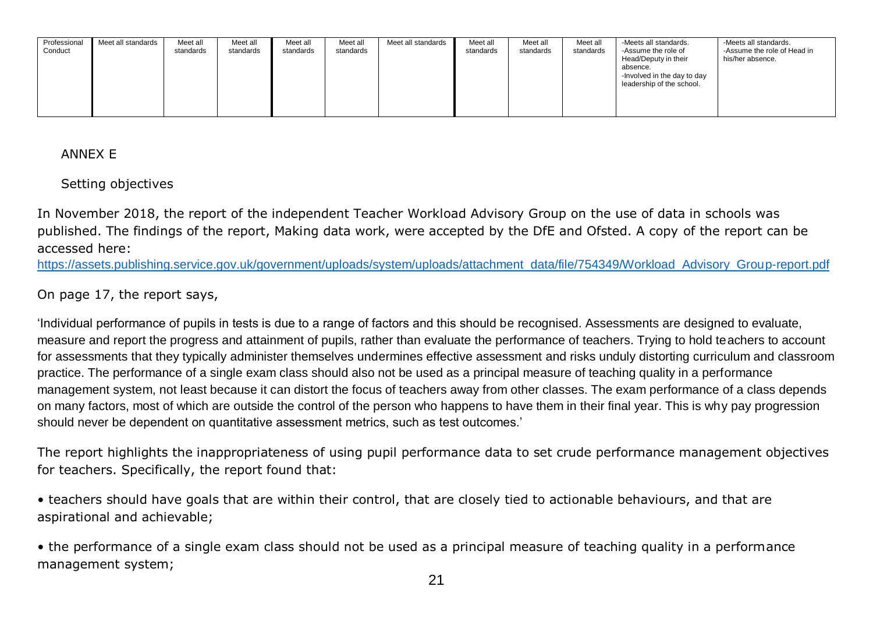| Professional | Meet all standards | Meet all  | Meet all  | Meet all  | Meet all  | Meet all standards | Meet all  | Meet all  | Meet all  | -Meets all standards.       | -Meets all standards.       |
|--------------|--------------------|-----------|-----------|-----------|-----------|--------------------|-----------|-----------|-----------|-----------------------------|-----------------------------|
| Conduct      |                    | standards | standards | standards | standards |                    | standards | standards | standards | -Assume the role of         | -Assume the role of Head in |
|              |                    |           |           |           |           |                    |           |           |           | Head/Deputy in their        | his/her absence.            |
|              |                    |           |           |           |           |                    |           |           |           | absence.                    |                             |
|              |                    |           |           |           |           |                    |           |           |           | -Involved in the day to day |                             |
|              |                    |           |           |           |           |                    |           |           |           | leadership of the school.   |                             |
|              |                    |           |           |           |           |                    |           |           |           |                             |                             |
|              |                    |           |           |           |           |                    |           |           |           |                             |                             |
|              |                    |           |           |           |           |                    |           |           |           |                             |                             |

ANNEX E

Setting objectives

In November 2018, the report of the independent Teacher Workload Advisory Group on the use of data in schools was published. The findings of the report, Making data work, were accepted by the DfE and Ofsted. A copy of the report can be accessed here:

[https://assets.publishing.service.gov.uk/government/uploads/system/uploads/attachment\\_data/file/754349/Workload\\_Advisory\\_Group-report.pdf](https://assets.publishing.service.gov.uk/government/uploads/system/uploads/attachment_data/file/754349/Workload_Advisory_Group-report.pdf)

On page 17, the report says,

'Individual performance of pupils in tests is due to a range of factors and this should be recognised. Assessments are designed to evaluate, measure and report the progress and attainment of pupils, rather than evaluate the performance of teachers. Trying to hold teachers to account for assessments that they typically administer themselves undermines effective assessment and risks unduly distorting curriculum and classroom practice. The performance of a single exam class should also not be used as a principal measure of teaching quality in a performance management system, not least because it can distort the focus of teachers away from other classes. The exam performance of a class depends on many factors, most of which are outside the control of the person who happens to have them in their final year. This is why pay progression should never be dependent on quantitative assessment metrics, such as test outcomes.'

The report highlights the inappropriateness of using pupil performance data to set crude performance management objectives for teachers. Specifically, the report found that:

• teachers should have goals that are within their control, that are closely tied to actionable behaviours, and that are aspirational and achievable;

• the performance of a single exam class should not be used as a principal measure of teaching quality in a performance management system;